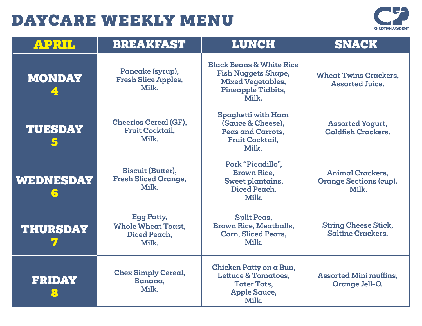

| <b>APRIL</b>        | <b>BREAKFAST</b>                                                        | <b>LUNCH</b>                                                                                                                 | <b>SNACK</b>                                                      |
|---------------------|-------------------------------------------------------------------------|------------------------------------------------------------------------------------------------------------------------------|-------------------------------------------------------------------|
| <b>MONDAY</b>       | Pancake (syrup),<br><b>Fresh Slice Apples,</b><br>Milk.                 | <b>Black Beans &amp; White Rice</b><br><b>Fish Nuggets Shape,</b><br><b>Mixed Vegetables,</b><br>Pineapple Tidbits,<br>Milk. | <b>Wheat Twins Crackers,</b><br><b>Assorted Juice.</b>            |
| <b>TUESDAY</b><br>5 | <b>Cheerios Cereal (GF),</b><br>Fruit Cocktail,<br>Milk.                | Spaghetti with Ham<br>(Sauce & Cheese),<br>Peas and Carrots,<br><b>Fruit Cocktail,</b><br>Milk.                              | <b>Assorted Yogurt,</b><br><b>Goldfish Crackers.</b>              |
| WEDNESDAY<br>5      | <b>Biscuit (Butter),</b><br><b>Fresh Sliced Orange,</b><br>Milk.        | Pork "Picadillo",<br><b>Brown Rice,</b><br>Sweet plantains,<br>Diced Peach.<br>Milk.                                         | <b>Animal Crackers,</b><br><b>Orange Sections (cup).</b><br>Milk. |
| <b>THURSDAY</b>     | <b>Egg Patty,</b><br><b>Whole Wheat Toast,</b><br>Diced Peach,<br>Milk. | <b>Split Peas,</b><br><b>Brown Rice, Meatballs,</b><br><b>Corn, Sliced Pears,</b><br>Milk.                                   | <b>String Cheese Stick,</b><br><b>Saltine Crackers.</b>           |
| <b>FRIDAY</b>       | <b>Chex Simply Cereal,</b><br>Banana,<br>Milk.                          | Chicken Patty on a Bun,<br><b>Lettuce &amp; Tomatoes,</b><br><b>Tater Tots,</b><br><b>Apple Sauce,</b><br>Milk.              | <b>Assorted Mini muffins,</b><br>Orange Jell-O.                   |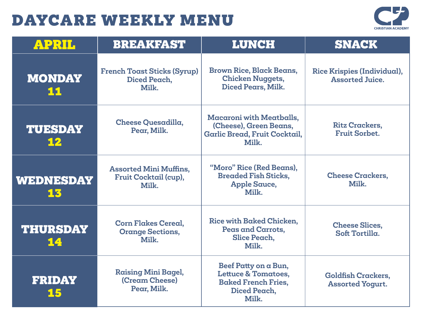

| <b>APRIL</b>                  | <b>BREAKFAST</b>                                                | <b>LUNCH</b>                                                                                                  | <b>SNACK</b>                                          |
|-------------------------------|-----------------------------------------------------------------|---------------------------------------------------------------------------------------------------------------|-------------------------------------------------------|
| <b>MONDAY</b><br>11           | <b>French Toast Sticks (Syrup)</b><br>Diced Peach,<br>Milk.     | <b>Brown Rice, Black Beans,</b><br><b>Chicken Nuggets,</b><br>Diced Pears, Milk.                              | Rice Krispies (Individual),<br><b>Assorted Juice.</b> |
| <b>TUESDAY</b><br>12          | Cheese Quesadilla,<br>Pear, Milk.                               | <b>Macaroni with Meatballs,</b><br>(Cheese), Green Beans,<br>Garlic Bread, Fruit Cocktail,<br>Milk.           | <b>Ritz Crackers,</b><br><b>Fruit Sorbet.</b>         |
| WEDNESDAY<br>13               | <b>Assorted Mini Muffins,</b><br>Fruit Cocktail (cup),<br>Milk. | "Moro" Rice (Red Beans),<br><b>Breaded Fish Sticks,</b><br><b>Apple Sauce,</b><br>Milk.                       | <b>Cheese Crackers,</b><br>Milk.                      |
| <b>THURSDAY</b><br><u> 14</u> | <b>Corn Flakes Cereal.</b><br><b>Orange Sections,</b><br>Milk.  | Rice with Baked Chicken.<br>Peas and Carrots,<br>Slice Peach,<br>Milk.                                        | <b>Cheese Slices,</b><br>Soft Tortilla.               |
| <b>FRIDAY</b><br>15           | <b>Raising Mini Bagel,</b><br>(Cream Cheese)<br>Pear, Milk.     | Beef Patty on a Bun,<br><b>Lettuce &amp; Tomatoes,</b><br><b>Baked French Fries,</b><br>Diced Peach,<br>Milk. | <b>Goldfish Crackers,</b><br><b>Assorted Yogurt.</b>  |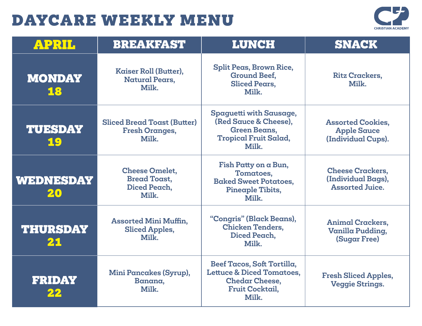

| <b>APRIL</b>          | <b>BREAKFAST</b>                                                      | <b>LUNCH</b>                                                                                                                   | <b>SNACK</b>                                                            |
|-----------------------|-----------------------------------------------------------------------|--------------------------------------------------------------------------------------------------------------------------------|-------------------------------------------------------------------------|
| <b>MONDAY</b><br>18   | Kaiser Roll (Butter),<br><b>Natural Pears,</b><br>Milk.               | <b>Split Peas, Brown Rice,</b><br><b>Ground Beef,</b><br><b>Sliced Pears,</b><br>Milk.                                         | <b>Ritz Crackers,</b><br>Milk.                                          |
| <b>TUESDAY</b><br>19  | <b>Sliced Bread Toast (Butter)</b><br><b>Fresh Oranges,</b><br>Milk.  | Spaguetti with Sausage,<br>(Red Sauce & Cheese).<br><b>Green Beans,</b><br><b>Tropical Fruit Salad,</b><br>Milk.               | <b>Assorted Cookies,</b><br><b>Apple Sauce</b><br>(Individual Cups).    |
| WEDNESDAY<br>20       | <b>Cheese Omelet,</b><br><b>Bread Toast,</b><br>Diced Peach,<br>Milk. | Fish Patty on a Bun,<br>Tomatoes,<br><b>Baked Sweet Potatoes.</b><br>Pineaple Tibits,<br>Milk.                                 | <b>Cheese Crackers,</b><br>(Individual Bags),<br><b>Assorted Juice.</b> |
| <b>THURSDAY</b><br>21 | <b>Assorted Mini Muffin,</b><br><b>Sliced Apples,</b><br>Milk.        | "Congris" (Black Beans),<br><b>Chicken Tenders,</b><br>Diced Peach,<br>Milk.                                                   | <b>Animal Crackers,</b><br>Vanilla Pudding,<br><b>(Sugar Free)</b>      |
| FRIDAY<br>22          | <b>Mini Pancakes (Syrup),</b><br>Banana,<br>Milk.                     | Beef Tacos, Soft Tortilla,<br><b>Lettuce &amp; Diced Tomatoes,</b><br><b>Chedar Cheese,</b><br><b>Fruit Cocktail,</b><br>Milk. | <b>Fresh Sliced Apples,</b><br><b>Veggie Strings.</b>                   |